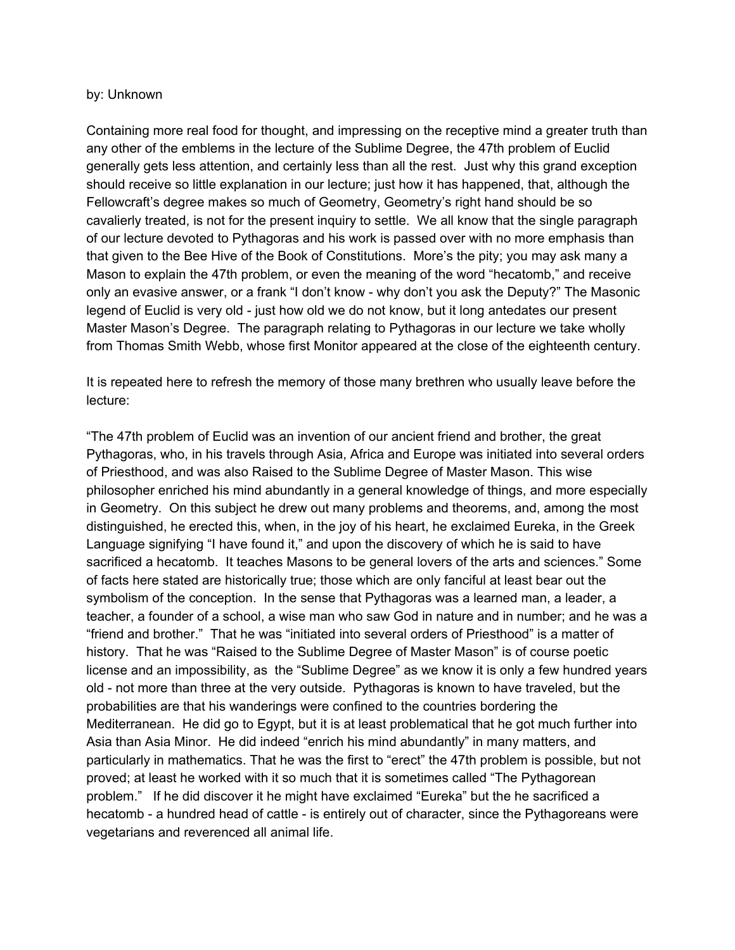## by: Unknown

Containing more real food for thought, and impressing on the receptive mind a greater truth than any other of the emblems in the lecture of the Sublime Degree, the 47th problem of Euclid generally gets less attention, and certainly less than all the rest. Just why this grand exception should receive so little explanation in our lecture; just how it has happened, that, although the Fellowcraft's degree makes so much of Geometry, Geometry's right hand should be so cavalierly treated, is not for the present inquiry to settle. We all know that the single paragraph of our lecture devoted to Pythagoras and his work is passed over with no more emphasis than that given to the Bee Hive of the Book of Constitutions. More's the pity; you may ask many a Mason to explain the 47th problem, or even the meaning of the word "hecatomb," and receive only an evasive answer, or a frank "I don't know - why don't you ask the Deputy?" The Masonic legend of Euclid is very old - just how old we do not know, but it long antedates our present Master Mason's Degree. The paragraph relating to Pythagoras in our lecture we take wholly from Thomas Smith Webb, whose first Monitor appeared at the close of the eighteenth century.

It is repeated here to refresh the memory of those many brethren who usually leave before the lecture:

"The 47th problem of Euclid was an invention of our ancient friend and brother, the great Pythagoras, who, in his travels through Asia, Africa and Europe was initiated into several orders of Priesthood, and was also Raised to the Sublime Degree of Master Mason. This wise philosopher enriched his mind abundantly in a general knowledge of things, and more especially in Geometry. On this subject he drew out many problems and theorems, and, among the most distinguished, he erected this, when, in the joy of his heart, he exclaimed Eureka, in the Greek Language signifying "I have found it," and upon the discovery of which he is said to have sacrificed a hecatomb. It teaches Masons to be general lovers of the arts and sciences." Some of facts here stated are historically true; those which are only fanciful at least bear out the symbolism of the conception. In the sense that Pythagoras was a learned man, a leader, a teacher, a founder of a school, a wise man who saw God in nature and in number; and he was a "friend and brother." That he was "initiated into several orders of Priesthood" is a matter of history. That he was "Raised to the Sublime Degree of Master Mason" is of course poetic license and an impossibility, as the "Sublime Degree" as we know it is only a few hundred years old - not more than three at the very outside. Pythagoras is known to have traveled, but the probabilities are that his wanderings were confined to the countries bordering the Mediterranean. He did go to Egypt, but it is at least problematical that he got much further into Asia than Asia Minor. He did indeed "enrich his mind abundantly" in many matters, and particularly in mathematics. That he was the first to "erect" the 47th problem is possible, but not proved; at least he worked with it so much that it is sometimes called "The Pythagorean problem." If he did discover it he might have exclaimed "Eureka" but the he sacrificed a hecatomb - a hundred head of cattle - is entirely out of character, since the Pythagoreans were vegetarians and reverenced all animal life.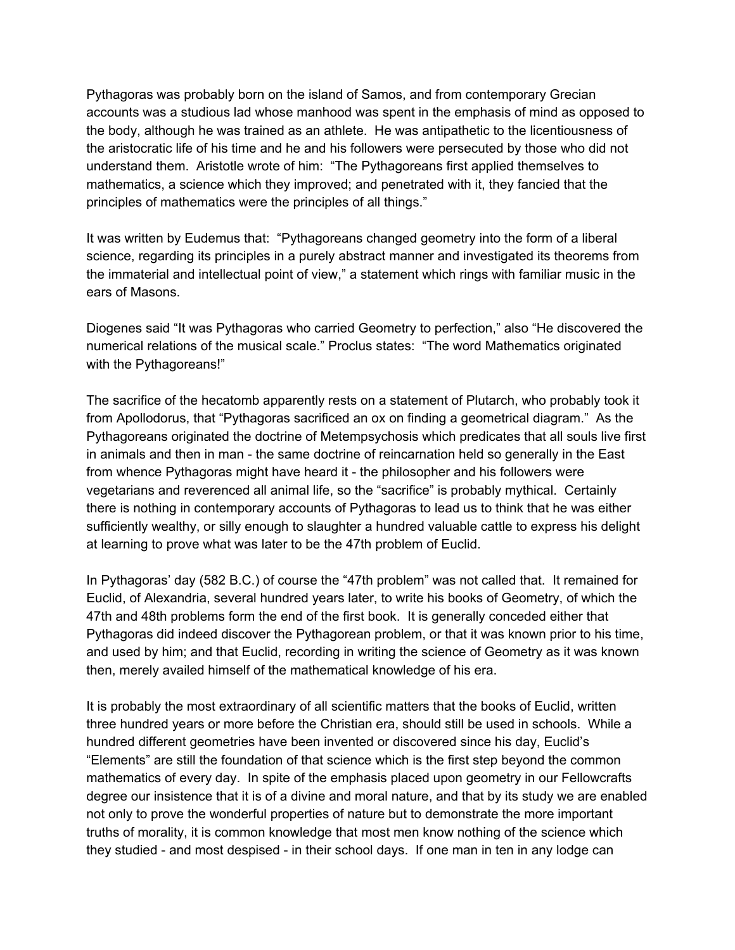Pythagoras was probably born on the island of Samos, and from contemporary Grecian accounts was a studious lad whose manhood was spent in the emphasis of mind as opposed to the body, although he was trained as an athlete. He was antipathetic to the licentiousness of the aristocratic life of his time and he and his followers were persecuted by those who did not understand them. Aristotle wrote of him: "The Pythagoreans first applied themselves to mathematics, a science which they improved; and penetrated with it, they fancied that the principles of mathematics were the principles of all things."

It was written by Eudemus that: "Pythagoreans changed geometry into the form of a liberal science, regarding its principles in a purely abstract manner and investigated its theorems from the immaterial and intellectual point of view," a statement which rings with familiar music in the ears of Masons.

Diogenes said "It was Pythagoras who carried Geometry to perfection," also "He discovered the numerical relations of the musical scale." Proclus states: "The word Mathematics originated with the Pythagoreans!"

The sacrifice of the hecatomb apparently rests on a statement of Plutarch, who probably took it from Apollodorus, that "Pythagoras sacrificed an ox on finding a geometrical diagram." As the Pythagoreans originated the doctrine of Metempsychosis which predicates that all souls live first in animals and then in man - the same doctrine of reincarnation held so generally in the East from whence Pythagoras might have heard it - the philosopher and his followers were vegetarians and reverenced all animal life, so the "sacrifice" is probably mythical. Certainly there is nothing in contemporary accounts of Pythagoras to lead us to think that he was either sufficiently wealthy, or silly enough to slaughter a hundred valuable cattle to express his delight at learning to prove what was later to be the 47th problem of Euclid.

In Pythagoras' day (582 B.C.) of course the "47th problem" was not called that. It remained for Euclid, of Alexandria, several hundred years later, to write his books of Geometry, of which the 47th and 48th problems form the end of the first book. It is generally conceded either that Pythagoras did indeed discover the Pythagorean problem, or that it was known prior to his time, and used by him; and that Euclid, recording in writing the science of Geometry as it was known then, merely availed himself of the mathematical knowledge of his era.

It is probably the most extraordinary of all scientific matters that the books of Euclid, written three hundred years or more before the Christian era, should still be used in schools. While a hundred different geometries have been invented or discovered since his day, Euclid's "Elements" are still the foundation of that science which is the first step beyond the common mathematics of every day. In spite of the emphasis placed upon geometry in our Fellowcrafts degree our insistence that it is of a divine and moral nature, and that by its study we are enabled not only to prove the wonderful properties of nature but to demonstrate the more important truths of morality, it is common knowledge that most men know nothing of the science which they studied - and most despised - in their school days. If one man in ten in any lodge can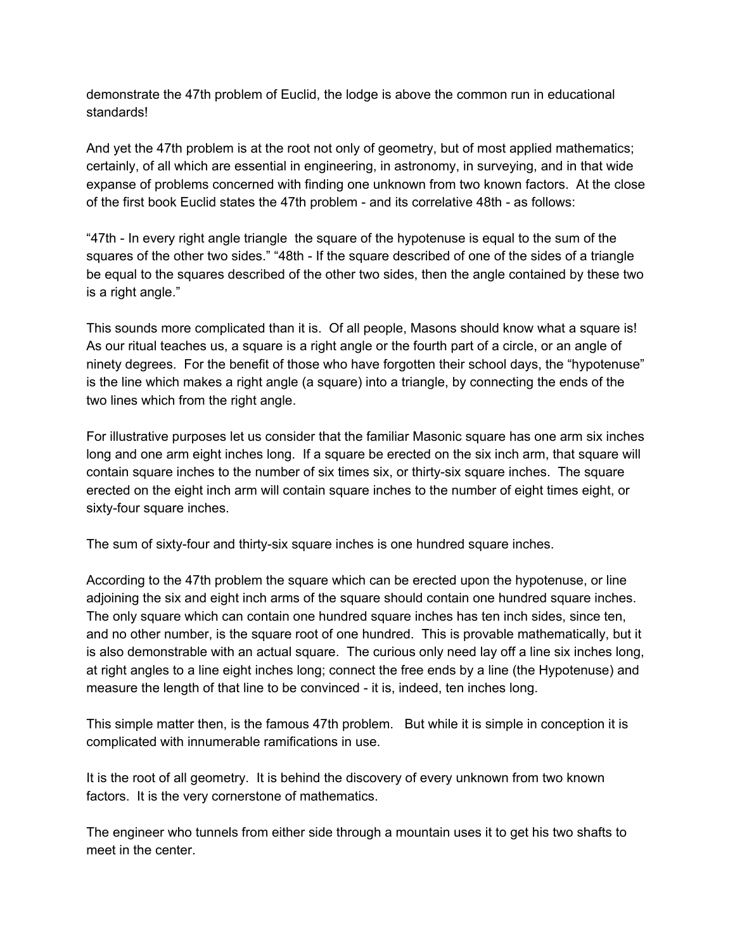demonstrate the 47th problem of Euclid, the lodge is above the common run in educational standards!

And yet the 47th problem is at the root not only of geometry, but of most applied mathematics; certainly, of all which are essential in engineering, in astronomy, in surveying, and in that wide expanse of problems concerned with finding one unknown from two known factors. At the close of the first book Euclid states the 47th problem - and its correlative 48th - as follows:

"47th - In every right angle triangle the square of the hypotenuse is equal to the sum of the squares of the other two sides." "48th - If the square described of one of the sides of a triangle be equal to the squares described of the other two sides, then the angle contained by these two is a right angle."

This sounds more complicated than it is. Of all people, Masons should know what a square is! As our ritual teaches us, a square is a right angle or the fourth part of a circle, or an angle of ninety degrees. For the benefit of those who have forgotten their school days, the "hypotenuse" is the line which makes a right angle (a square) into a triangle, by connecting the ends of the two lines which from the right angle.

For illustrative purposes let us consider that the familiar Masonic square has one arm six inches long and one arm eight inches long. If a square be erected on the six inch arm, that square will contain square inches to the number of six times six, or thirty-six square inches. The square erected on the eight inch arm will contain square inches to the number of eight times eight, or sixty-four square inches.

The sum of sixty-four and thirty-six square inches is one hundred square inches.

According to the 47th problem the square which can be erected upon the hypotenuse, or line adjoining the six and eight inch arms of the square should contain one hundred square inches. The only square which can contain one hundred square inches has ten inch sides, since ten, and no other number, is the square root of one hundred. This is provable mathematically, but it is also demonstrable with an actual square. The curious only need lay off a line six inches long, at right angles to a line eight inches long; connect the free ends by a line (the Hypotenuse) and measure the length of that line to be convinced - it is, indeed, ten inches long.

This simple matter then, is the famous 47th problem. But while it is simple in conception it is complicated with innumerable ramifications in use.

It is the root of all geometry. It is behind the discovery of every unknown from two known factors. It is the very cornerstone of mathematics.

The engineer who tunnels from either side through a mountain uses it to get his two shafts to meet in the center.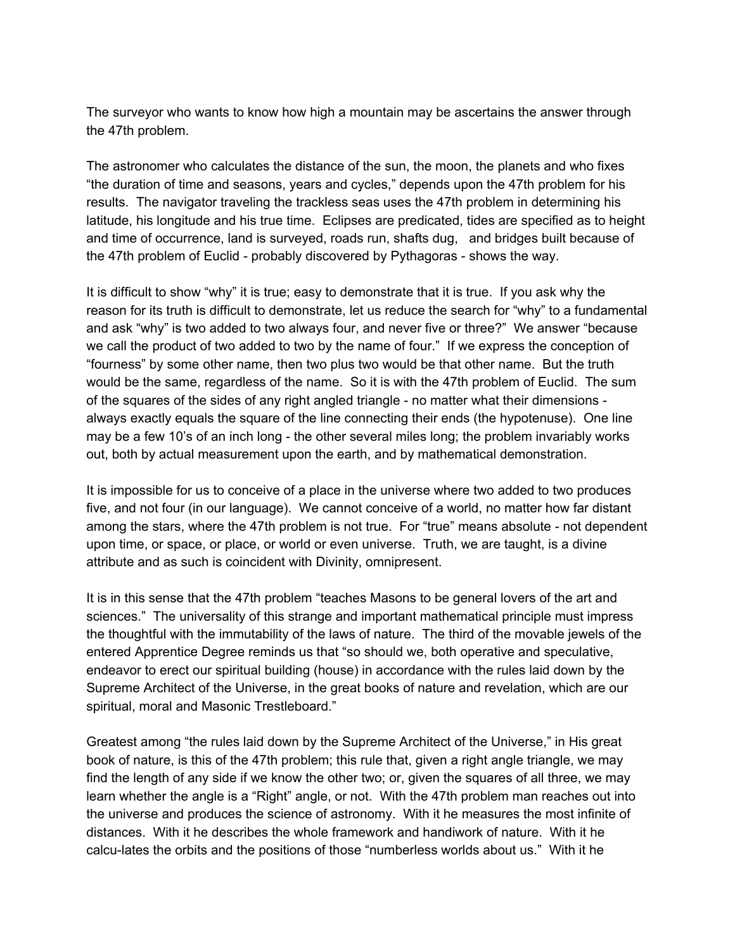The surveyor who wants to know how high a mountain may be ascertains the answer through the 47th problem.

The astronomer who calculates the distance of the sun, the moon, the planets and who fixes "the duration of time and seasons, years and cycles," depends upon the 47th problem for his results. The navigator traveling the trackless seas uses the 47th problem in determining his latitude, his longitude and his true time. Eclipses are predicated, tides are specified as to height and time of occurrence, land is surveyed, roads run, shafts dug, and bridges built because of the 47th problem of Euclid - probably discovered by Pythagoras - shows the way.

It is difficult to show "why" it is true; easy to demonstrate that it is true. If you ask why the reason for its truth is difficult to demonstrate, let us reduce the search for "why" to a fundamental and ask "why" is two added to two always four, and never five or three?" We answer "because we call the product of two added to two by the name of four." If we express the conception of "fourness" by some other name, then two plus two would be that other name. But the truth would be the same, regardless of the name. So it is with the 47th problem of Euclid. The sum of the squares of the sides of any right angled triangle - no matter what their dimensions always exactly equals the square of the line connecting their ends (the hypotenuse). One line may be a few 10's of an inch long - the other several miles long; the problem invariably works out, both by actual measurement upon the earth, and by mathematical demonstration.

It is impossible for us to conceive of a place in the universe where two added to two produces five, and not four (in our language). We cannot conceive of a world, no matter how far distant among the stars, where the 47th problem is not true. For "true" means absolute - not dependent upon time, or space, or place, or world or even universe. Truth, we are taught, is a divine attribute and as such is coincident with Divinity, omnipresent.

It is in this sense that the 47th problem "teaches Masons to be general lovers of the art and sciences." The universality of this strange and important mathematical principle must impress the thoughtful with the immutability of the laws of nature. The third of the movable jewels of the entered Apprentice Degree reminds us that "so should we, both operative and speculative, endeavor to erect our spiritual building (house) in accordance with the rules laid down by the Supreme Architect of the Universe, in the great books of nature and revelation, which are our spiritual, moral and Masonic Trestleboard."

Greatest among "the rules laid down by the Supreme Architect of the Universe," in His great book of nature, is this of the 47th problem; this rule that, given a right angle triangle, we may find the length of any side if we know the other two; or, given the squares of all three, we may learn whether the angle is a "Right" angle, or not. With the 47th problem man reaches out into the universe and produces the science of astronomy. With it he measures the most infinite of distances. With it he describes the whole framework and handiwork of nature. With it he calcu-lates the orbits and the positions of those "numberless worlds about us." With it he